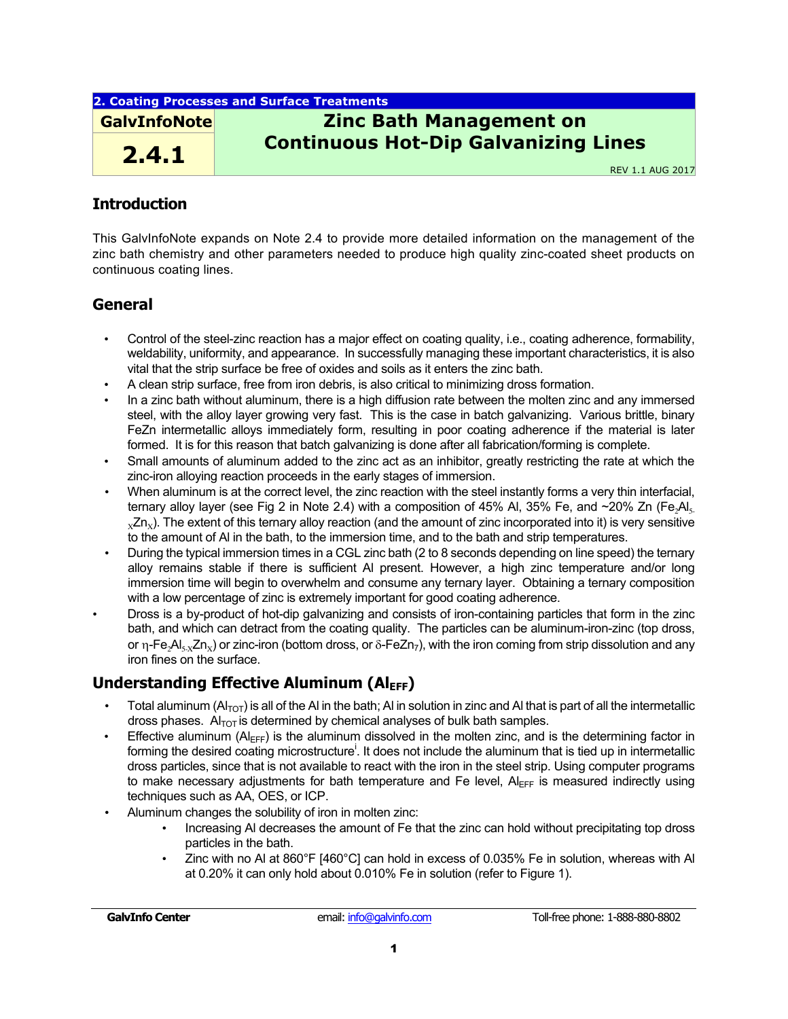### **2. Coating Processes and Surface Treatments**

**2.4.1**

# **GalvInfoNote Zinc Bath Management on Continuous Hot-Dip Galvanizing Lines**

REV 1.1 AUG 2017

## **Introduction**

This GalvInfoNote expands on Note 2.4 to provide more detailed information on the management of the zinc bath chemistry and other parameters needed to produce high quality zinc-coated sheet products on continuous coating lines.

## **General**

- Control of the steel-zinc reaction has a major effect on coating quality, i.e., coating adherence, formability, weldability, uniformity, and appearance. In successfully managing these important characteristics, it is also vital that the strip surface be free of oxides and soils as it enters the zinc bath.
- A clean strip surface, free from iron debris, is also critical to minimizing dross formation.
- In a zinc bath without aluminum, there is a high diffusion rate between the molten zinc and any immersed steel, with the alloy layer growing very fast. This is the case in batch galvanizing. Various brittle, binary FeZn intermetallic alloys immediately form, resulting in poor coating adherence if the material is later formed. It is for this reason that batch galvanizing is done after all fabrication/forming is complete.
- Small amounts of aluminum added to the zinc act as an inhibitor, greatly restricting the rate at which the zinc-iron alloying reaction proceeds in the early stages of immersion.
- When aluminum is at the correct level, the zinc reaction with the steel instantly forms a very thin interfacial, ternary alloy layer (see Fig 2 in Note 2.4) with a composition of 45% Al, 35% Fe, and  $\sim$ 20% Zn (Fe, Al,  $xZn_x$ ). The extent of this ternary alloy reaction (and the amount of zinc incorporated into it) is very sensitive to the amount of Al in the bath, to the immersion time, and to the bath and strip temperatures.
- During the typical immersion times in a CGL zinc bath (2 to 8 seconds depending on line speed) the ternary alloy remains stable if there is sufficient Al present. However, a high zinc temperature and/or long immersion time will begin to overwhelm and consume any ternary layer. Obtaining a ternary composition with a low percentage of zinc is extremely important for good coating adherence.
- Dross is a by-product of hot-dip galvanizing and consists of iron-containing particles that form in the zinc bath, and which can detract from the coating quality. The particles can be aluminum-iron-zinc (top dross, or  $\eta$ -Fe<sub>2</sub>Al<sub>5-X</sub>Zn<sub>x</sub>) or zinc-iron (bottom dross, or  $\delta$ -FeZn<sub>7</sub>), with the iron coming from strip dissolution and any iron fines on the surface.

## **Understanding Effective Aluminum (Al<sub>EFF</sub>)**

- Total aluminum  $(A|_{\text{TOT}})$  is all of the AI in the bath; AI in solution in zinc and AI that is part of all the intermetallic dross phases.  $AI<sub>TOT</sub>$  is determined by chemical analyses of bulk bath samples.
- Effective aluminum ( $AI_{FFF}$ ) is the aluminum dissolved in the molten zinc, and is the determining factor in forming the desired coating microstructure<sup>i</sup>. It does not include the aluminum that is tied up in intermetallic dross particles, since that is not available to react with the iron in the steel strip. Using computer programs to make necessary adjustments for bath temperature and Fe level,  $A|_{\text{EFF}}$  is measured indirectly using techniques such as AA, OES, or ICP.
- Aluminum changes the solubility of iron in molten zinc:
	- Increasing Al decreases the amount of Fe that the zinc can hold without precipitating top dross particles in the bath.
	- Zinc with no Al at 860°F [460°C] can hold in excess of 0.035% Fe in solution, whereas with Al at 0.20% it can only hold about 0.010% Fe in solution (refer to Figure 1).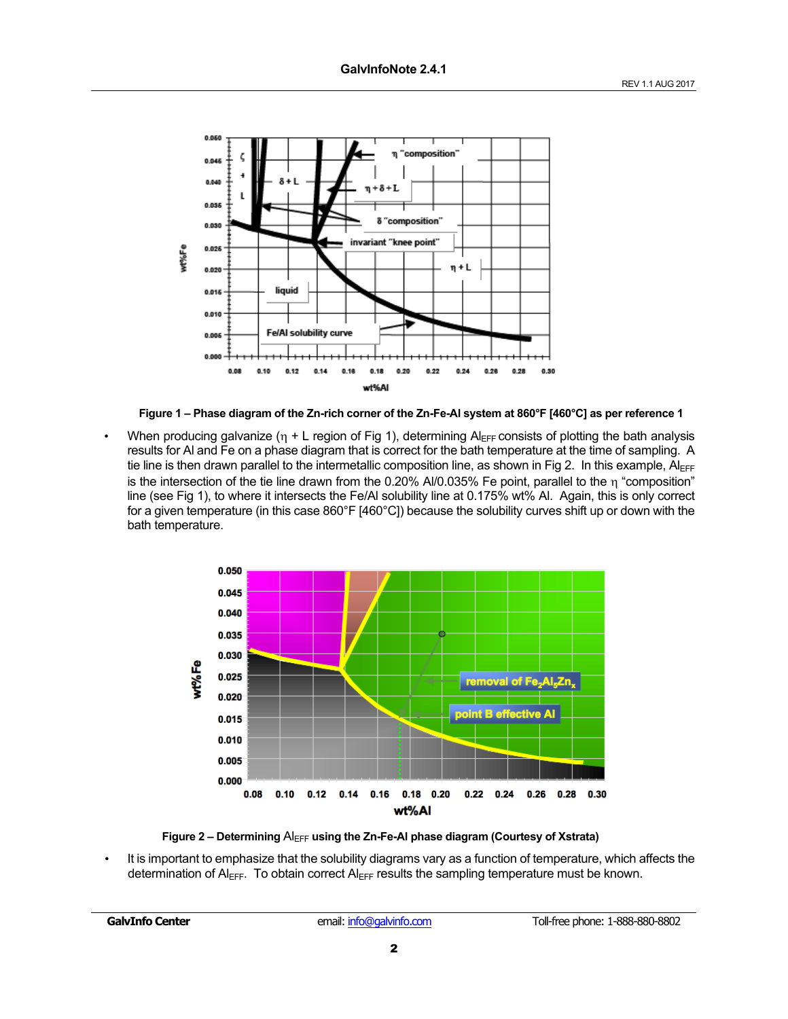

**Figure 1 – Phase diagram of the Zn-rich corner of the Zn-Fe-Al system at 860°F [460°C] as per reference 1**

When producing galvanize ( $n + L$  region of Fig 1), determining Al<sub>EFF</sub> consists of plotting the bath analysis results for Al and Fe on a phase diagram that is correct for the bath temperature at the time of sampling. A tie line is then drawn parallel to the intermetallic composition line, as shown in Fig 2. In this example,  $Al_{EFF}$ is the intersection of the tie line drawn from the 0.20% AI/0.035% Fe point, parallel to the  $\eta$  "composition" line (see Fig 1), to where it intersects the Fe/Al solubility line at 0.175% wt% Al. Again, this is only correct for a given temperature (in this case 860°F [460°C]) because the solubility curves shift up or down with the bath temperature.





• It is important to emphasize that the solubility diagrams vary as a function of temperature, which affects the determination of  $AI_{EFF}$ . To obtain correct  $AI_{EFF}$  results the sampling temperature must be known.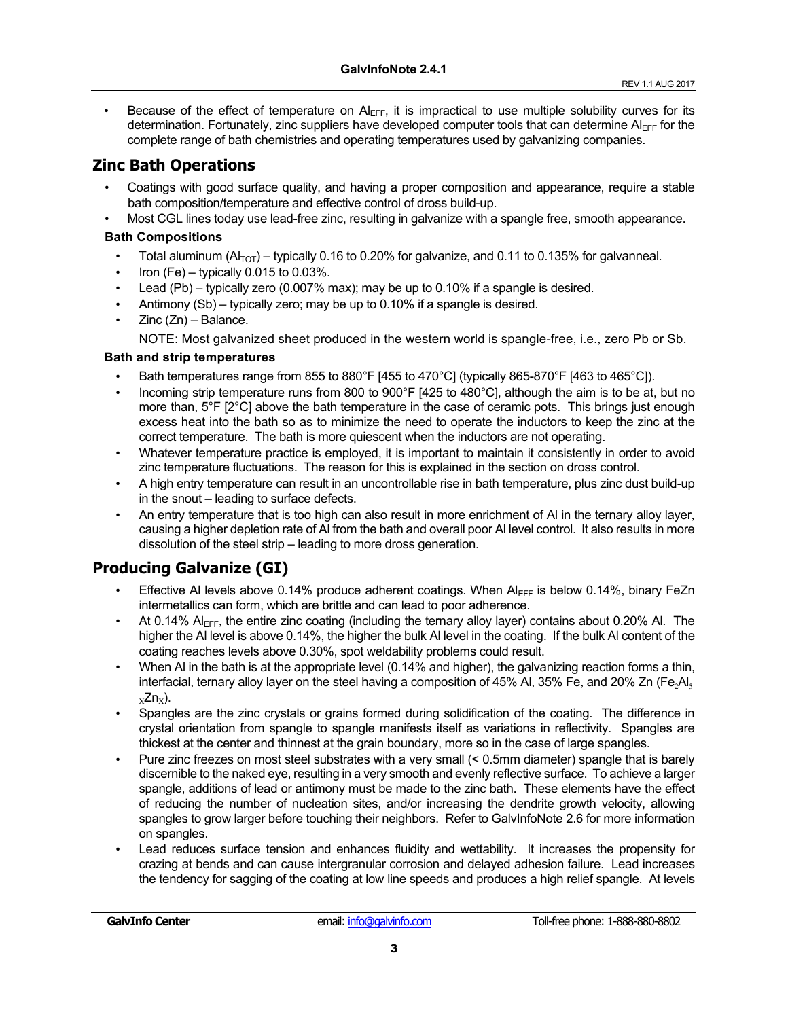Because of the effect of temperature on  $A_{EFF}$ , it is impractical to use multiple solubility curves for its determination. Fortunately, zinc suppliers have developed computer tools that can determine AlFFF for the complete range of bath chemistries and operating temperatures used by galvanizing companies.

## **Zinc Bath Operations**

- Coatings with good surface quality, and having a proper composition and appearance, require a stable bath composition/temperature and effective control of dross build-up.
- Most CGL lines today use lead-free zinc, resulting in galvanize with a spangle free, smooth appearance.

### **Bath Compositions**

- Total aluminum  $(A_{\text{TOT}})$  typically 0.16 to 0.20% for galvanize, and 0.11 to 0.135% for galvanneal.
- Iron (Fe) typically  $0.015$  to  $0.03\%$ .
- Lead  $(Pb)$  typically zero (0.007% max); may be up to 0.10% if a spangle is desired.
- Antimony (Sb) typically zero; may be up to 0.10% if a spangle is desired.
- $Zinc(Zn) Balance.$

NOTE: Most galvanized sheet produced in the western world is spangle-free, i.e., zero Pb or Sb.

### **Bath and strip temperatures**

- Bath temperatures range from 855 to 880°F [455 to 470°C] (typically 865-870°F [463 to 465°C]).
- Incoming strip temperature runs from 800 to 900°F [425 to 480°C], although the aim is to be at, but no more than, 5°F [2°C] above the bath temperature in the case of ceramic pots. This brings just enough excess heat into the bath so as to minimize the need to operate the inductors to keep the zinc at the correct temperature. The bath is more quiescent when the inductors are not operating.
- Whatever temperature practice is employed, it is important to maintain it consistently in order to avoid zinc temperature fluctuations. The reason for this is explained in the section on dross control.
- A high entry temperature can result in an uncontrollable rise in bath temperature, plus zinc dust build-up in the snout – leading to surface defects.
- An entry temperature that is too high can also result in more enrichment of Al in the ternary alloy layer, causing a higher depletion rate of Al from the bath and overall poor Al level control. It also results in more dissolution of the steel strip – leading to more dross generation.

## **Producing Galvanize (GI)**

- Effective AI levels above 0.14% produce adherent coatings. When  $A|_{\text{EFF}}$  is below 0.14%, binary FeZn intermetallics can form, which are brittle and can lead to poor adherence.
- At 0.14% Al<sub>EFF</sub>, the entire zinc coating (including the ternary alloy layer) contains about 0.20% Al. The higher the Al level is above 0.14%, the higher the bulk Al level in the coating. If the bulk Al content of the coating reaches levels above 0.30%, spot weldability problems could result.
- When Al in the bath is at the appropriate level (0.14% and higher), the galvanizing reaction forms a thin, interfacial, ternary alloy layer on the steel having a composition of 45% Al, 35% Fe, and 20% Zn (Fe, Al,  $_{x}Zn_{x}$ ).
- Spangles are the zinc crystals or grains formed during solidification of the coating. The difference in crystal orientation from spangle to spangle manifests itself as variations in reflectivity. Spangles are thickest at the center and thinnest at the grain boundary, more so in the case of large spangles.
- Pure zinc freezes on most steel substrates with a very small (< 0.5mm diameter) spangle that is barely discernible to the naked eye, resulting in a very smooth and evenly reflective surface. To achieve a larger spangle, additions of lead or antimony must be made to the zinc bath. These elements have the effect of reducing the number of nucleation sites, and/or increasing the dendrite growth velocity, allowing spangles to grow larger before touching their neighbors. Refer to GalvInfoNote 2.6 for more information on spangles.
- Lead reduces surface tension and enhances fluidity and wettability. It increases the propensity for crazing at bends and can cause intergranular corrosion and delayed adhesion failure. Lead increases the tendency for sagging of the coating at low line speeds and produces a high relief spangle. At levels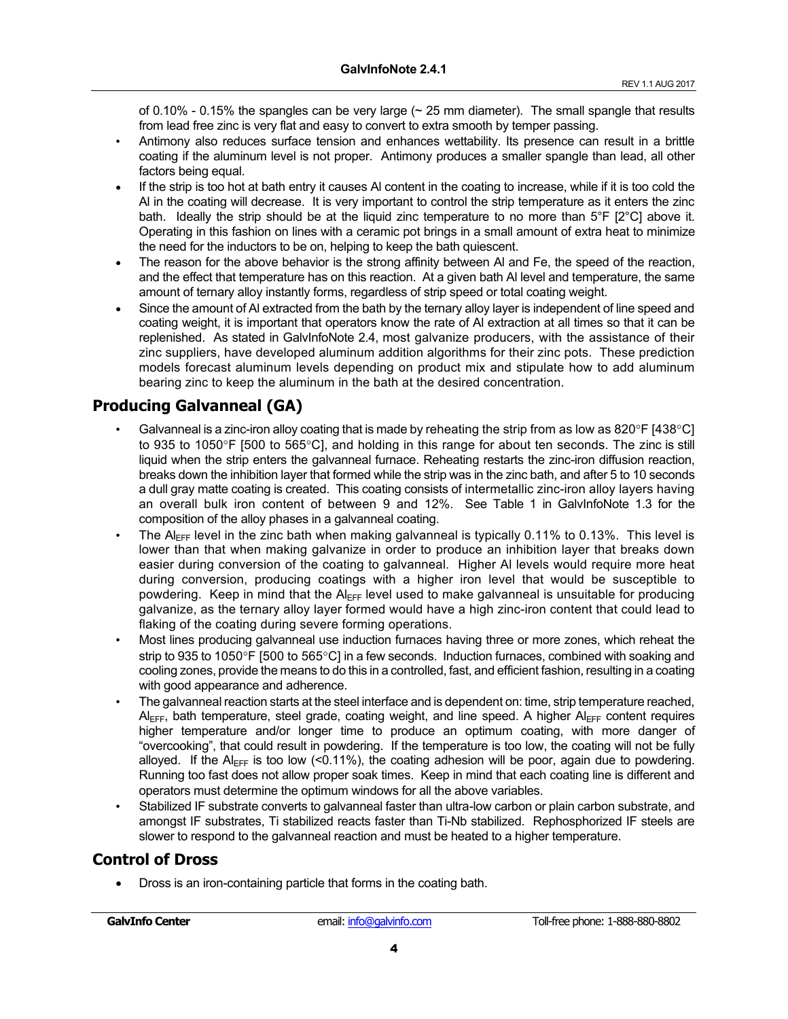of  $0.10\%$  -  $0.15\%$  the spangles can be very large ( $\sim$  25 mm diameter). The small spangle that results from lead free zinc is very flat and easy to convert to extra smooth by temper passing.

- Antimony also reduces surface tension and enhances wettability. Its presence can result in a brittle coating if the aluminum level is not proper. Antimony produces a smaller spangle than lead, all other factors being equal.
- If the strip is too hot at bath entry it causes AI content in the coating to increase, while if it is too cold the Al in the coating will decrease. It is very important to control the strip temperature as it enters the zinc bath. Ideally the strip should be at the liquid zinc temperature to no more than 5°F [2°C] above it. Operating in this fashion on lines with a ceramic pot brings in a small amount of extra heat to minimize the need for the inductors to be on, helping to keep the bath quiescent.
- The reason for the above behavior is the strong affinity between AI and Fe, the speed of the reaction, and the effect that temperature has on this reaction. At a given bath Al level and temperature, the same amount of ternary alloy instantly forms, regardless of strip speed or total coating weight.
- Since the amount of AI extracted from the bath by the ternary alloy layer is independent of line speed and coating weight, it is important that operators know the rate of Al extraction at all times so that it can be replenished. As stated in GalvInfoNote 2.4, most galvanize producers, with the assistance of their zinc suppliers, have developed aluminum addition algorithms for their zinc pots. These prediction models forecast aluminum levels depending on product mix and stipulate how to add aluminum bearing zinc to keep the aluminum in the bath at the desired concentration.

## **Producing Galvanneal (GA)**

- Galvanneal is a zinc-iron alloy coating that is made by reheating the strip from as low as 820°F [438°C] to 935 to 1050°F [500 to 565°C], and holding in this range for about ten seconds. The zinc is still liquid when the strip enters the galvanneal furnace. Reheating restarts the zinc-iron diffusion reaction, breaks down the inhibition layer that formed while the strip was in the zinc bath, and after 5 to 10 seconds a dull gray matte coating is created. This coating consists of intermetallic zinc-iron alloy layers having an overall bulk iron content of between 9 and 12%. See Table 1 in GalvInfoNote 1.3 for the composition of the alloy phases in a galvanneal coating.
- The Al<sub>EFF</sub> level in the zinc bath when making galvanneal is typically  $0.11\%$  to  $0.13\%$ . This level is lower than that when making galvanize in order to produce an inhibition layer that breaks down easier during conversion of the coating to galvanneal. Higher Al levels would require more heat during conversion, producing coatings with a higher iron level that would be susceptible to powdering. Keep in mind that the Al<sub>EFF</sub> level used to make galvanneal is unsuitable for producing galvanize, as the ternary alloy layer formed would have a high zinc-iron content that could lead to flaking of the coating during severe forming operations.
- Most lines producing galvanneal use induction furnaces having three or more zones, which reheat the strip to 935 to 1050°F [500 to 565°C] in a few seconds. Induction furnaces, combined with soaking and cooling zones, provide the means to do this in a controlled, fast, and efficient fashion, resulting in a coating with good appearance and adherence.
- The galvanneal reaction starts at the steel interface and is dependent on: time, strip temperature reached,  $AI_{EFF}$ , bath temperature, steel grade, coating weight, and line speed. A higher  $AI_{FFF}$  content requires higher temperature and/or longer time to produce an optimum coating, with more danger of "overcooking", that could result in powdering. If the temperature is too low, the coating will not be fully alloyed. If the  $AI_{EFF}$  is too low (<0.11%), the coating adhesion will be poor, again due to powdering. Running too fast does not allow proper soak times. Keep in mind that each coating line is different and operators must determine the optimum windows for all the above variables.
- Stabilized IF substrate converts to galvanneal faster than ultra-low carbon or plain carbon substrate, and amongst IF substrates, Ti stabilized reacts faster than Ti-Nb stabilized. Rephosphorized IF steels are slower to respond to the galvanneal reaction and must be heated to a higher temperature.

## **Control of Dross**

• Dross is an iron-containing particle that forms in the coating bath.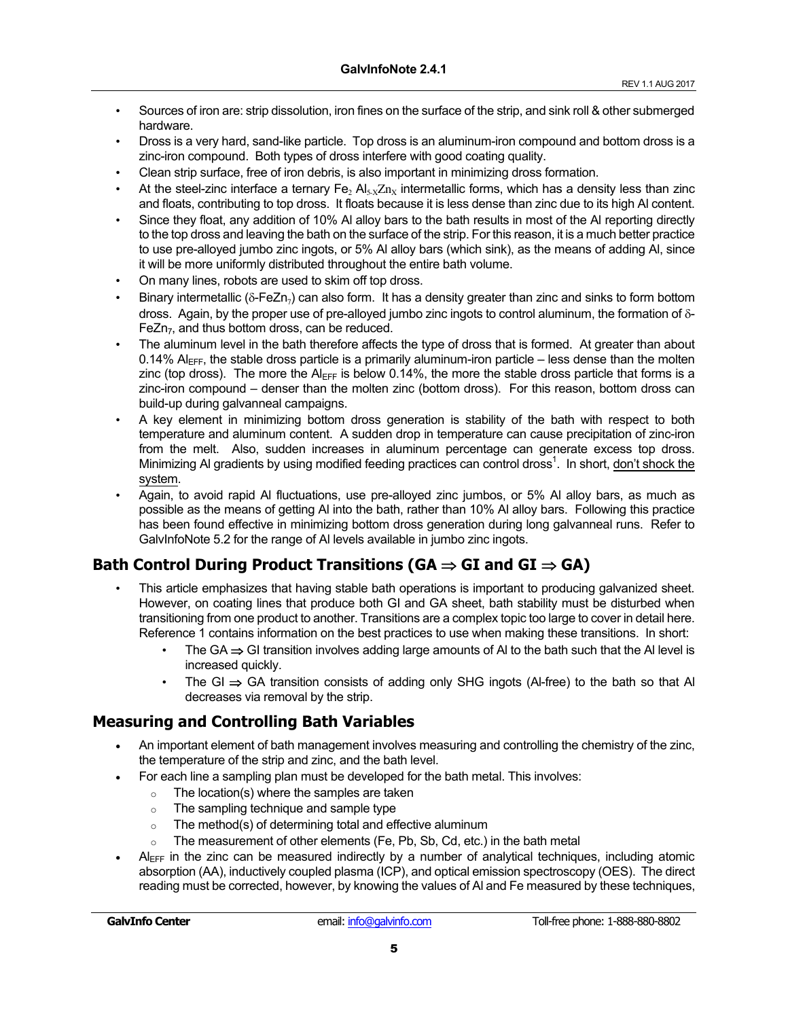- Sources of iron are: strip dissolution, iron fines on the surface of the strip, and sink roll & other submerged hardware.
- Dross is a very hard, sand-like particle. Top dross is an aluminum-iron compound and bottom dross is a zinc-iron compound. Both types of dross interfere with good coating quality.
- Clean strip surface, free of iron debris, is also important in minimizing dross formation.
- At the steel-zinc interface a ternary  $Fe<sub>2</sub> Al<sub>5-X</sub>Zn<sub>X</sub>$  intermetallic forms, which has a density less than zinc and floats, contributing to top dross. It floats because it is less dense than zinc due to its high Al content.
- Since they float, any addition of 10% Al alloy bars to the bath results in most of the Al reporting directly to the top dross and leaving the bath on the surface of the strip. For this reason, it is a much better practice to use pre-alloyed jumbo zinc ingots, or 5% Al alloy bars (which sink), as the means of adding Al, since it will be more uniformly distributed throughout the entire bath volume.
- On many lines, robots are used to skim off top dross.
- Binary intermetallic ( $\delta$ -FeZn<sub>7</sub>) can also form. It has a density greater than zinc and sinks to form bottom dross. Again, by the proper use of pre-alloyed jumbo zinc ingots to control aluminum, the formation of  $\delta$ -FeZn<sub>7</sub>, and thus bottom dross, can be reduced.
- The aluminum level in the bath therefore affects the type of dross that is formed. At greater than about 0.14%  $\Delta l_{\text{EFF}}$ , the stable dross particle is a primarily aluminum-iron particle – less dense than the molten zinc (top dross). The more the  $AI_{\text{FFT}}$  is below 0.14%, the more the stable dross particle that forms is a zinc-iron compound – denser than the molten zinc (bottom dross). For this reason, bottom dross can build-up during galvanneal campaigns.
- A key element in minimizing bottom dross generation is stability of the bath with respect to both temperature and aluminum content. A sudden drop in temperature can cause precipitation of zinc-iron from the melt. Also, sudden increases in aluminum percentage can generate excess top dross. Minimizing AI gradients by using modified feeding practices can control dross<sup>1</sup>. In short, don't shock the system.
- Again, to avoid rapid Al fluctuations, use pre-alloyed zinc jumbos, or 5% Al alloy bars, as much as possible as the means of getting Al into the bath, rather than 10% Al alloy bars. Following this practice has been found effective in minimizing bottom dross generation during long galvanneal runs. Refer to GalvInfoNote 5.2 for the range of Al levels available in jumbo zinc ingots.

## **Bath Control During Product Transitions (GA ⇒ GI and GI ⇒ GA)**

- This article emphasizes that having stable bath operations is important to producing galvanized sheet. However, on coating lines that produce both GI and GA sheet, bath stability must be disturbed when transitioning from one product to another. Transitions are a complex topic too large to cover in detail here. Reference 1 contains information on the best practices to use when making these transitions. In short:
	- The GA  $\Rightarrow$  GI transition involves adding large amounts of AI to the bath such that the AI level is increased quickly.
	- The GI  $\Rightarrow$  GA transition consists of adding only SHG ingots (Al-free) to the bath so that AI decreases via removal by the strip.

## **Measuring and Controlling Bath Variables**

- An important element of bath management involves measuring and controlling the chemistry of the zinc, the temperature of the strip and zinc, and the bath level.
- For each line a sampling plan must be developed for the bath metal. This involves:
	- $\circ$  The location(s) where the samples are taken
	- o The sampling technique and sample type
	- $\circ$  The method(s) of determining total and effective aluminum
	- $\circ$  The measurement of other elements (Fe, Pb, Sb, Cd, etc.) in the bath metal
- $AI_{EFF}$  in the zinc can be measured indirectly by a number of analytical techniques, including atomic absorption (AA), inductively coupled plasma (ICP), and optical emission spectroscopy (OES). The direct reading must be corrected, however, by knowing the values of Al and Fe measured by these techniques,